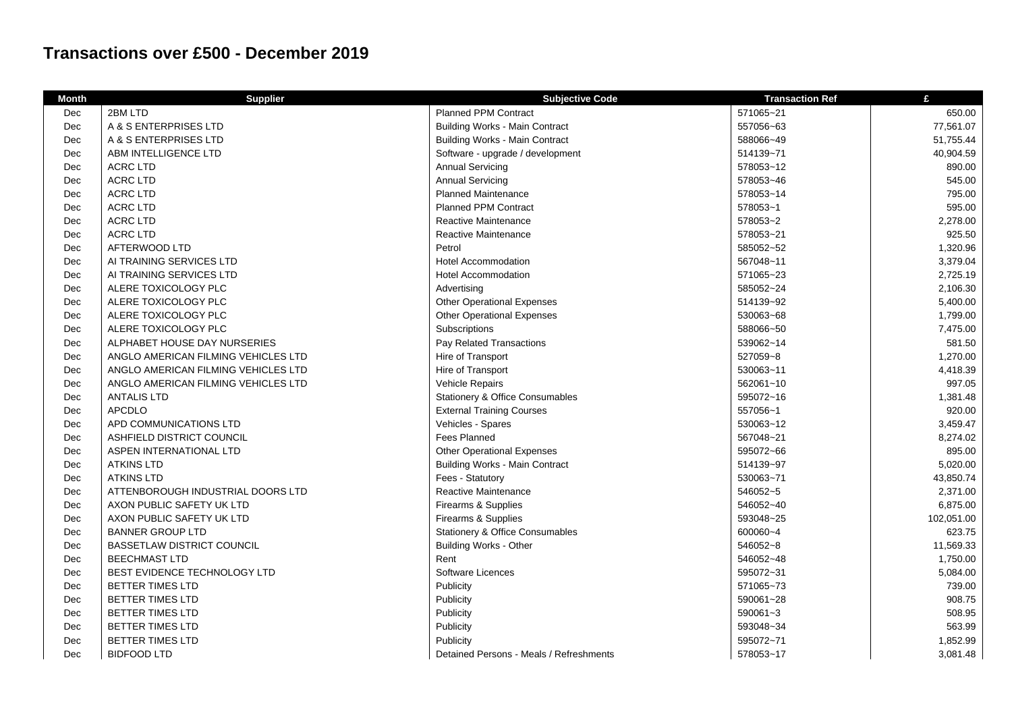## **Transactions over £500 - December 2019**

| <b>Month</b> | <b>Supplier</b>                     | <b>Subjective Code</b>                     | <b>Transaction Ref</b> | £          |
|--------------|-------------------------------------|--------------------------------------------|------------------------|------------|
| Dec          | 2BM LTD                             | <b>Planned PPM Contract</b>                | 571065~21              | 650.00     |
| Dec          | A & S ENTERPRISES LTD               | <b>Building Works - Main Contract</b>      | 557056~63              | 77,561.07  |
| Dec          | A & S ENTERPRISES LTD               | <b>Building Works - Main Contract</b>      | 588066~49              | 51.755.44  |
| Dec          | ABM INTELLIGENCE LTD                | Software - upgrade / development           | 514139~71              | 40,904.59  |
| Dec          | <b>ACRC LTD</b>                     | <b>Annual Servicing</b>                    | 578053~12              | 890.00     |
| Dec          | <b>ACRC LTD</b>                     | <b>Annual Servicing</b>                    | 578053~46              | 545.00     |
| Dec          | <b>ACRC LTD</b>                     | <b>Planned Maintenance</b>                 | 578053~14              | 795.00     |
| Dec          | <b>ACRC LTD</b>                     | <b>Planned PPM Contract</b>                | 578053~1               | 595.00     |
| Dec          | <b>ACRC LTD</b>                     | Reactive Maintenance                       | 578053~2               | 2,278.00   |
| Dec          | <b>ACRC LTD</b>                     | Reactive Maintenance                       | 578053~21              | 925.50     |
| Dec          | AFTERWOOD LTD                       | Petrol                                     | 585052~52              | 1,320.96   |
| Dec          | AI TRAINING SERVICES LTD            | <b>Hotel Accommodation</b>                 | 567048~11              | 3,379.04   |
| Dec          | AI TRAINING SERVICES LTD            | <b>Hotel Accommodation</b>                 | 571065~23              | 2,725.19   |
| Dec          | ALERE TOXICOLOGY PLC                | Advertising                                | 585052~24              | 2,106.30   |
| Dec          | ALERE TOXICOLOGY PLC                | <b>Other Operational Expenses</b>          | 514139~92              | 5,400.00   |
| Dec          | ALERE TOXICOLOGY PLC                | <b>Other Operational Expenses</b>          | 530063~68              | 1,799.00   |
| Dec          | ALERE TOXICOLOGY PLC                | Subscriptions                              | 588066~50              | 7,475.00   |
| Dec          | ALPHABET HOUSE DAY NURSERIES        | Pay Related Transactions                   | 539062~14              | 581.50     |
| Dec          | ANGLO AMERICAN FILMING VEHICLES LTD | Hire of Transport                          | 527059~8               | 1,270.00   |
| Dec          | ANGLO AMERICAN FILMING VEHICLES LTD | Hire of Transport                          | 530063~11              | 4,418.39   |
| Dec          | ANGLO AMERICAN FILMING VEHICLES LTD | Vehicle Repairs                            | 562061~10              | 997.05     |
| Dec          | <b>ANTALIS LTD</b>                  | <b>Stationery &amp; Office Consumables</b> | 595072~16              | 1,381.48   |
| Dec          | <b>APCDLO</b>                       | <b>External Training Courses</b>           | 557056~1               | 920.00     |
| Dec          | APD COMMUNICATIONS LTD              | Vehicles - Spares                          | 530063~12              | 3,459.47   |
| Dec          | ASHFIELD DISTRICT COUNCIL           | Fees Planned                               | 567048~21              | 8,274.02   |
| Dec          | ASPEN INTERNATIONAL LTD             | <b>Other Operational Expenses</b>          | 595072~66              | 895.00     |
| Dec          | <b>ATKINS LTD</b>                   | <b>Building Works - Main Contract</b>      | 514139~97              | 5,020.00   |
| Dec          | <b>ATKINS LTD</b>                   | Fees - Statutory                           | 530063~71              | 43,850.74  |
| Dec          | ATTENBOROUGH INDUSTRIAL DOORS LTD   | Reactive Maintenance                       | 546052~5               | 2,371.00   |
| Dec          | AXON PUBLIC SAFETY UK LTD           | Firearms & Supplies                        | 546052~40              | 6,875.00   |
| Dec          | AXON PUBLIC SAFETY UK LTD           | Firearms & Supplies                        | 593048~25              | 102,051.00 |
| Dec          | <b>BANNER GROUP LTD</b>             | <b>Stationery &amp; Office Consumables</b> | 600060~4               | 623.75     |
| Dec          | <b>BASSETLAW DISTRICT COUNCIL</b>   | <b>Building Works - Other</b>              | 546052~8               | 11,569.33  |
| Dec          | <b>BEECHMAST LTD</b>                | Rent                                       | 546052~48              | 1,750.00   |
| Dec          | BEST EVIDENCE TECHNOLOGY LTD        | Software Licences                          | 595072~31              | 5,084.00   |
| Dec          | <b>BETTER TIMES LTD</b>             | Publicity                                  | 571065~73              | 739.00     |
| Dec          | BETTER TIMES LTD                    | Publicity                                  | 590061~28              | 908.75     |
| Dec          | <b>BETTER TIMES LTD</b>             | Publicity                                  | 590061~3               | 508.95     |
| Dec          | BETTER TIMES LTD                    | Publicity                                  | 593048~34              | 563.99     |
| Dec          | <b>BETTER TIMES LTD</b>             | Publicity                                  | 595072~71              | 1,852.99   |
| Dec          | <b>BIDFOOD LTD</b>                  | Detained Persons - Meals / Refreshments    | 578053~17              | 3,081.48   |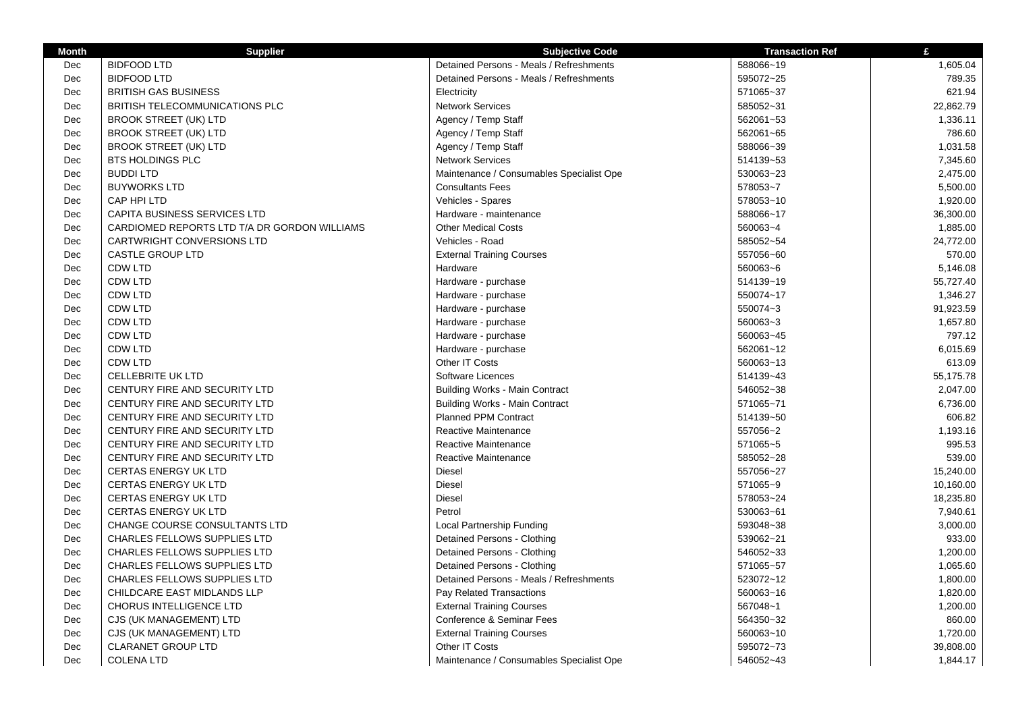| <b>Month</b> | <b>Supplier</b>                              | <b>Subjective Code</b>                   | <b>Transaction Ref</b> | £         |
|--------------|----------------------------------------------|------------------------------------------|------------------------|-----------|
| Dec          | <b>BIDFOOD LTD</b>                           | Detained Persons - Meals / Refreshments  | 588066~19              | 1,605.04  |
| Dec          | <b>BIDFOOD LTD</b>                           | Detained Persons - Meals / Refreshments  | 595072~25              | 789.35    |
| Dec          | <b>BRITISH GAS BUSINESS</b>                  | Electricity                              | 571065~37              | 621.94    |
| Dec          | BRITISH TELECOMMUNICATIONS PLC               | <b>Network Services</b>                  | 585052~31              | 22,862.79 |
| Dec          | <b>BROOK STREET (UK) LTD</b>                 | Agency / Temp Staff                      | 562061~53              | 1,336.11  |
| Dec          | <b>BROOK STREET (UK) LTD</b>                 | Agency / Temp Staff                      | 562061~65              | 786.60    |
| Dec          | <b>BROOK STREET (UK) LTD</b>                 | Agency / Temp Staff                      | 588066~39              | 1,031.58  |
| Dec          | <b>BTS HOLDINGS PLC</b>                      | <b>Network Services</b>                  | 514139~53              | 7,345.60  |
| Dec          | <b>BUDDILTD</b>                              | Maintenance / Consumables Specialist Ope | 530063~23              | 2,475.00  |
| Dec          | <b>BUYWORKS LTD</b>                          | <b>Consultants Fees</b>                  | 578053~7               | 5,500.00  |
| Dec          | CAP HPI LTD                                  | Vehicles - Spares                        | 578053~10              | 1,920.00  |
| Dec          | <b>CAPITA BUSINESS SERVICES LTD</b>          | Hardware - maintenance                   | 588066~17              | 36,300.00 |
| Dec          | CARDIOMED REPORTS LTD T/A DR GORDON WILLIAMS | <b>Other Medical Costs</b>               | 560063~4               | 1,885.00  |
| <b>Dec</b>   | <b>CARTWRIGHT CONVERSIONS LTD</b>            | Vehicles - Road                          | 585052~54              | 24,772.00 |
| Dec          | CASTLE GROUP LTD                             | <b>External Training Courses</b>         | 557056~60              | 570.00    |
| Dec          | <b>CDW LTD</b>                               | Hardware                                 | 560063~6               | 5,146.08  |
| Dec          | <b>CDW LTD</b>                               | Hardware - purchase                      | 514139~19              | 55,727.40 |
| Dec          | <b>CDW LTD</b>                               | Hardware - purchase                      | 550074~17              | 1,346.27  |
| Dec          | <b>CDW LTD</b>                               | Hardware - purchase                      | 550074~3               | 91,923.59 |
| Dec          | <b>CDW LTD</b>                               | Hardware - purchase                      | 560063~3               | 1,657.80  |
| Dec          | <b>CDW LTD</b>                               | Hardware - purchase                      | 560063~45              | 797.12    |
| Dec          | <b>CDW LTD</b>                               | Hardware - purchase                      | 562061~12              | 6,015.69  |
| Dec          | <b>CDW LTD</b>                               | Other IT Costs                           | 560063~13              | 613.09    |
| Dec          | <b>CELLEBRITE UK LTD</b>                     | Software Licences                        | 514139~43              | 55,175.78 |
| Dec          | CENTURY FIRE AND SECURITY LTD                | <b>Building Works - Main Contract</b>    | 546052~38              | 2,047.00  |
| Dec          | CENTURY FIRE AND SECURITY LTD                | <b>Building Works - Main Contract</b>    | 571065~71              | 6,736.00  |
| Dec          | CENTURY FIRE AND SECURITY LTD                | <b>Planned PPM Contract</b>              | 514139~50              | 606.82    |
| Dec          | CENTURY FIRE AND SECURITY LTD                | Reactive Maintenance                     | 557056~2               | 1,193.16  |
| Dec          | CENTURY FIRE AND SECURITY LTD                | Reactive Maintenance                     | 571065~5               | 995.53    |
| Dec          | CENTURY FIRE AND SECURITY LTD                | Reactive Maintenance                     | 585052~28              | 539.00    |
| Dec          | <b>CERTAS ENERGY UK LTD</b>                  | Diesel                                   | 557056~27              | 15,240.00 |
| Dec          | <b>CERTAS ENERGY UK LTD</b>                  | <b>Diesel</b>                            | 571065~9               | 10,160.00 |
| Dec          | <b>CERTAS ENERGY UK LTD</b>                  | <b>Diesel</b>                            | 578053~24              | 18,235.80 |
| Dec          | <b>CERTAS ENERGY UK LTD</b>                  | Petrol                                   | 530063~61              | 7,940.61  |
| Dec          | CHANGE COURSE CONSULTANTS LTD                | Local Partnership Funding                | 593048~38              | 3,000.00  |
| Dec          | <b>CHARLES FELLOWS SUPPLIES LTD</b>          | Detained Persons - Clothing              | 539062~21              | 933.00    |
| Dec          | CHARLES FELLOWS SUPPLIES LTD                 | Detained Persons - Clothing              | 546052~33              | 1,200.00  |
| Dec          | <b>CHARLES FELLOWS SUPPLIES LTD</b>          | Detained Persons - Clothing              | 571065~57              | 1,065.60  |
| Dec          | <b>CHARLES FELLOWS SUPPLIES LTD</b>          | Detained Persons - Meals / Refreshments  | 523072~12              | 1,800.00  |
| Dec          | CHILDCARE EAST MIDLANDS LLP                  | Pay Related Transactions                 | 560063~16              | 1,820.00  |
| Dec          | CHORUS INTELLIGENCE LTD                      | <b>External Training Courses</b>         | 567048~1               | 1,200.00  |
| Dec          | CJS (UK MANAGEMENT) LTD                      | Conference & Seminar Fees                | 564350~32              | 860.00    |
| Dec          | CJS (UK MANAGEMENT) LTD                      | <b>External Training Courses</b>         | 560063~10              | 1,720.00  |
| Dec          | <b>CLARANET GROUP LTD</b>                    | Other IT Costs                           | 595072~73              | 39,808.00 |
| Dec          | <b>COLENA LTD</b>                            | Maintenance / Consumables Specialist Ope | 546052~43              | 1,844.17  |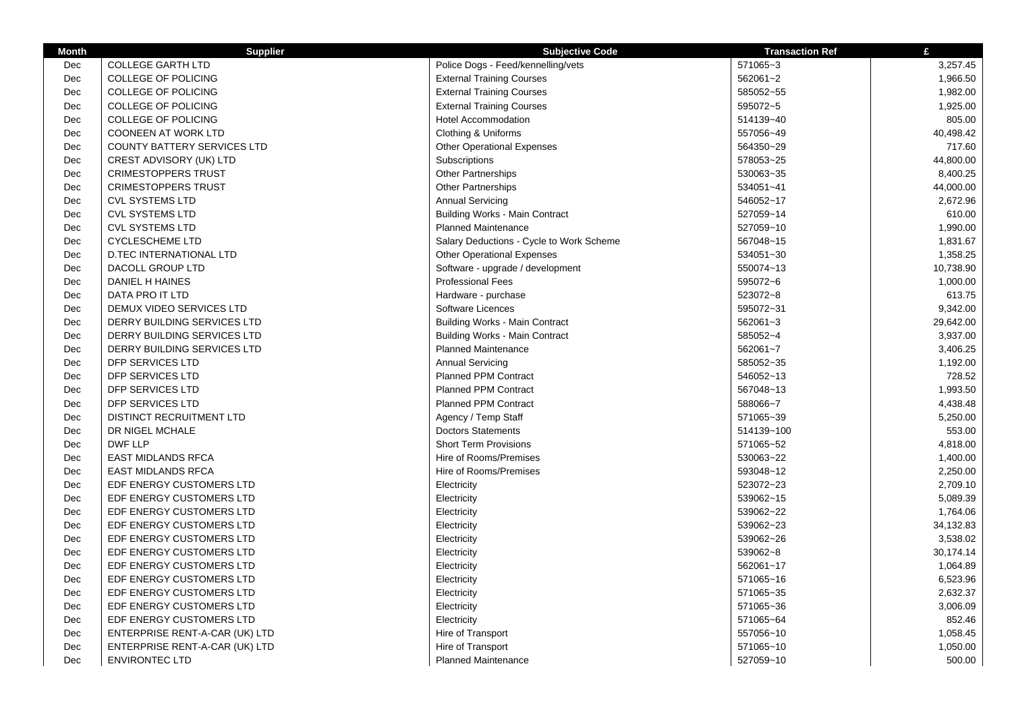| <b>Month</b> | <b>Supplier</b>                    | <b>Subjective Code</b>                   | <b>Transaction Ref</b> | £         |
|--------------|------------------------------------|------------------------------------------|------------------------|-----------|
| Dec          | <b>COLLEGE GARTH LTD</b>           | Police Dogs - Feed/kennelling/vets       | 571065~3               | 3,257.45  |
| Dec          | <b>COLLEGE OF POLICING</b>         | <b>External Training Courses</b>         | 562061~2               | 1,966.50  |
| Dec          | <b>COLLEGE OF POLICING</b>         | <b>External Training Courses</b>         | 585052~55              | 1,982.00  |
| Dec          | <b>COLLEGE OF POLICING</b>         | <b>External Training Courses</b>         | 595072~5               | 1,925.00  |
| Dec          | <b>COLLEGE OF POLICING</b>         | <b>Hotel Accommodation</b>               | 514139~40              | 805.00    |
| Dec          | <b>COONEEN AT WORK LTD</b>         | Clothing & Uniforms                      | 557056~49              | 40,498.42 |
| Dec          | <b>COUNTY BATTERY SERVICES LTD</b> | <b>Other Operational Expenses</b>        | 564350~29              | 717.60    |
| Dec          | CREST ADVISORY (UK) LTD            | Subscriptions                            | 578053~25              | 44,800.00 |
| Dec          | <b>CRIMESTOPPERS TRUST</b>         | <b>Other Partnerships</b>                | 530063~35              | 8,400.25  |
| Dec          | <b>CRIMESTOPPERS TRUST</b>         | <b>Other Partnerships</b>                | 534051~41              | 44,000.00 |
| Dec          | <b>CVL SYSTEMS LTD</b>             | <b>Annual Servicing</b>                  | 546052~17              | 2,672.96  |
| Dec          | <b>CVL SYSTEMS LTD</b>             | <b>Building Works - Main Contract</b>    | 527059~14              | 610.00    |
| Dec          | <b>CVL SYSTEMS LTD</b>             | <b>Planned Maintenance</b>               | 527059~10              | 1,990.00  |
| Dec          | <b>CYCLESCHEME LTD</b>             | Salary Deductions - Cycle to Work Scheme | 567048~15              | 1,831.67  |
| Dec          | <b>D.TEC INTERNATIONAL LTD</b>     | <b>Other Operational Expenses</b>        | 534051~30              | 1.358.25  |
| Dec          | DACOLL GROUP LTD                   | Software - upgrade / development         | 550074~13              | 10,738.90 |
| Dec          | DANIEL H HAINES                    | <b>Professional Fees</b>                 | 595072~6               | 1,000.00  |
| Dec          | DATA PRO IT LTD                    | Hardware - purchase                      | 523072~8               | 613.75    |
| Dec          | DEMUX VIDEO SERVICES LTD           | Software Licences                        | 595072~31              | 9,342.00  |
| Dec          | DERRY BUILDING SERVICES LTD        | <b>Building Works - Main Contract</b>    | 562061~3               | 29,642.00 |
| Dec          | DERRY BUILDING SERVICES LTD        | <b>Building Works - Main Contract</b>    | 585052~4               | 3,937.00  |
| Dec          | DERRY BUILDING SERVICES LTD        | Planned Maintenance                      | 562061~7               | 3,406.25  |
| Dec          | DFP SERVICES LTD                   | <b>Annual Servicing</b>                  | 585052~35              | 1,192.00  |
| Dec          | DFP SERVICES LTD                   | <b>Planned PPM Contract</b>              | 546052~13              | 728.52    |
| Dec          | DFP SERVICES LTD                   | <b>Planned PPM Contract</b>              | 567048~13              | 1,993.50  |
| Dec          | <b>DFP SERVICES LTD</b>            | <b>Planned PPM Contract</b>              | 588066~7               | 4,438.48  |
| Dec          | DISTINCT RECRUITMENT LTD           | Agency / Temp Staff                      | 571065~39              | 5,250.00  |
| Dec          | DR NIGEL MCHALE                    | <b>Doctors Statements</b>                | 514139~100             | 553.00    |
| Dec          | <b>DWF LLP</b>                     | <b>Short Term Provisions</b>             | 571065~52              | 4,818.00  |
| Dec          | <b>EAST MIDLANDS RFCA</b>          | Hire of Rooms/Premises                   | 530063~22              | 1,400.00  |
| Dec          | <b>EAST MIDLANDS RFCA</b>          | Hire of Rooms/Premises                   | 593048~12              | 2,250.00  |
| Dec          | EDF ENERGY CUSTOMERS LTD           | Electricity                              | 523072~23              | 2,709.10  |
| Dec          | EDF ENERGY CUSTOMERS LTD           | Electricity                              | 539062~15              | 5,089.39  |
| Dec          | EDF ENERGY CUSTOMERS LTD           | Electricity                              | 539062~22              | 1,764.06  |
| Dec          | EDF ENERGY CUSTOMERS LTD           | Electricity                              | 539062~23              | 34,132.83 |
| Dec          | EDF ENERGY CUSTOMERS LTD           | Electricity                              | 539062~26              | 3,538.02  |
| Dec          | EDF ENERGY CUSTOMERS LTD           | Electricity                              | 539062~8               | 30,174.14 |
| Dec          | EDF ENERGY CUSTOMERS LTD           | Electricity                              | 562061~17              | 1,064.89  |
| Dec          | EDF ENERGY CUSTOMERS LTD           | Electricity                              | 571065~16              | 6,523.96  |
| Dec          | EDF ENERGY CUSTOMERS LTD           | Electricity                              | 571065~35              | 2,632.37  |
| Dec          | EDF ENERGY CUSTOMERS LTD           | Electricity                              | 571065~36              | 3,006.09  |
| Dec          | EDF ENERGY CUSTOMERS LTD           | Electricity                              | 571065~64              | 852.46    |
| Dec          | ENTERPRISE RENT-A-CAR (UK) LTD     | Hire of Transport                        | 557056~10              | 1,058.45  |
| Dec          | ENTERPRISE RENT-A-CAR (UK) LTD     | Hire of Transport                        | 571065~10              | 1,050.00  |
| Dec          | <b>ENVIRONTEC LTD</b>              | <b>Planned Maintenance</b>               | 527059~10              | 500.00    |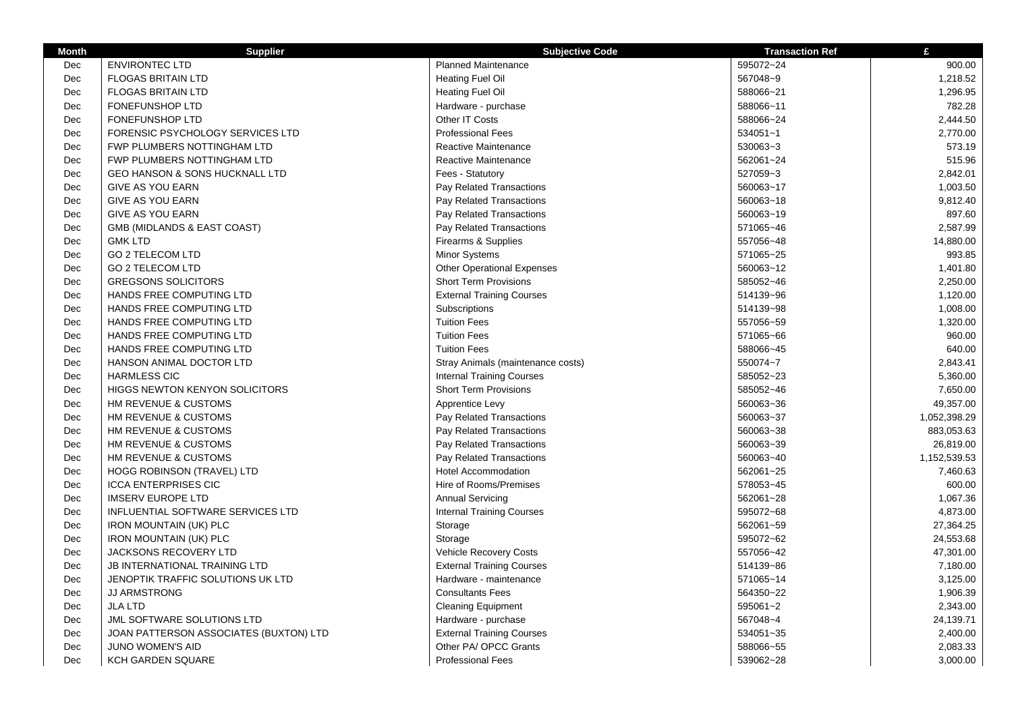| <b>Month</b> | <b>Supplier</b>                        | <b>Subjective Code</b>            | <b>Transaction Ref</b> | £            |
|--------------|----------------------------------------|-----------------------------------|------------------------|--------------|
| Dec          | <b>ENVIRONTEC LTD</b>                  | <b>Planned Maintenance</b>        | 595072~24              | 900.00       |
| Dec          | <b>FLOGAS BRITAIN LTD</b>              | <b>Heating Fuel Oil</b>           | 567048~9               | 1,218.52     |
| Dec          | <b>FLOGAS BRITAIN LTD</b>              | <b>Heating Fuel Oil</b>           | 588066~21              | 1,296.95     |
| Dec          | <b>FONEFUNSHOP LTD</b>                 | Hardware - purchase               | 588066~11              | 782.28       |
| Dec          | <b>FONEFUNSHOP LTD</b>                 | Other IT Costs                    | 588066~24              | 2,444.50     |
| Dec          | FORENSIC PSYCHOLOGY SERVICES LTD       | <b>Professional Fees</b>          | 534051~1               | 2,770.00     |
| Dec          | FWP PLUMBERS NOTTINGHAM LTD            | Reactive Maintenance              | 530063~3               | 573.19       |
| Dec          | FWP PLUMBERS NOTTINGHAM LTD            | Reactive Maintenance              | 562061~24              | 515.96       |
| Dec          | GEO HANSON & SONS HUCKNALL LTD         | Fees - Statutory                  | 527059~3               | 2,842.01     |
| Dec          | GIVE AS YOU EARN                       | Pay Related Transactions          | 560063~17              | 1,003.50     |
| Dec          | <b>GIVE AS YOU EARN</b>                | Pay Related Transactions          | 560063~18              | 9,812.40     |
| Dec          | <b>GIVE AS YOU EARN</b>                | Pay Related Transactions          | 560063~19              | 897.60       |
| Dec          | GMB (MIDLANDS & EAST COAST)            | Pay Related Transactions          | 571065~46              | 2,587.99     |
| Dec          | <b>GMK LTD</b>                         | Firearms & Supplies               | 557056~48              | 14,880.00    |
| Dec          | <b>GO 2 TELECOM LTD</b>                | Minor Systems                     | 571065~25              | 993.85       |
| Dec          | <b>GO 2 TELECOM LTD</b>                | <b>Other Operational Expenses</b> | 560063~12              | 1,401.80     |
| Dec          | <b>GREGSONS SOLICITORS</b>             | <b>Short Term Provisions</b>      | 585052~46              | 2,250.00     |
| Dec          | HANDS FREE COMPUTING LTD               | <b>External Training Courses</b>  | 514139~96              | 1,120.00     |
| Dec          | HANDS FREE COMPUTING LTD               | Subscriptions                     | 514139~98              | 1,008.00     |
| Dec          | HANDS FREE COMPUTING LTD               | <b>Tuition Fees</b>               | 557056~59              | 1,320.00     |
| Dec          | HANDS FREE COMPUTING LTD               | <b>Tuition Fees</b>               | 571065~66              | 960.00       |
| Dec          | HANDS FREE COMPUTING LTD               | <b>Tuition Fees</b>               | 588066~45              | 640.00       |
| Dec          | HANSON ANIMAL DOCTOR LTD               | Stray Animals (maintenance costs) | 550074~7               | 2,843.41     |
| Dec          | <b>HARMLESS CIC</b>                    | <b>Internal Training Courses</b>  | 585052~23              | 5,360.00     |
| Dec          | <b>HIGGS NEWTON KENYON SOLICITORS</b>  | <b>Short Term Provisions</b>      | 585052~46              | 7,650.00     |
| Dec          | HM REVENUE & CUSTOMS                   | Apprentice Levy                   | 560063~36              | 49,357.00    |
| Dec          | HM REVENUE & CUSTOMS                   | Pay Related Transactions          | 560063~37              | 1,052,398.29 |
| Dec          | HM REVENUE & CUSTOMS                   | Pay Related Transactions          | 560063~38              | 883,053.63   |
| Dec          | HM REVENUE & CUSTOMS                   | Pay Related Transactions          | 560063~39              | 26,819.00    |
| Dec          | HM REVENUE & CUSTOMS                   | Pay Related Transactions          | 560063~40              | 1,152,539.53 |
| Dec          | HOGG ROBINSON (TRAVEL) LTD             | <b>Hotel Accommodation</b>        | 562061~25              | 7,460.63     |
| Dec          | <b>ICCA ENTERPRISES CIC</b>            | Hire of Rooms/Premises            | 578053~45              | 600.00       |
| Dec          | <b>IMSERV EUROPE LTD</b>               | <b>Annual Servicing</b>           | 562061~28              | 1,067.36     |
| Dec          | INFLUENTIAL SOFTWARE SERVICES LTD      | <b>Internal Training Courses</b>  | 595072~68              | 4,873.00     |
| Dec          | <b>IRON MOUNTAIN (UK) PLC</b>          | Storage                           | 562061~59              | 27,364.25    |
| Dec          | <b>IRON MOUNTAIN (UK) PLC</b>          | Storage                           | 595072~62              | 24,553.68    |
| Dec          | <b>JACKSONS RECOVERY LTD</b>           | <b>Vehicle Recovery Costs</b>     | 557056~42              | 47,301.00    |
| Dec          | JB INTERNATIONAL TRAINING LTD          | <b>External Training Courses</b>  | 514139~86              | 7,180.00     |
| Dec          | JENOPTIK TRAFFIC SOLUTIONS UK LTD      | Hardware - maintenance            | 571065~14              | 3,125.00     |
|              |                                        | <b>Consultants Fees</b>           |                        |              |
| Dec          | <b>JJ ARMSTRONG</b>                    |                                   | 564350~22              | 1,906.39     |
| Dec          | <b>JLA LTD</b>                         | <b>Cleaning Equipment</b>         | 595061~2               | 2,343.00     |
| Dec          | JML SOFTWARE SOLUTIONS LTD             | Hardware - purchase               | 567048~4               | 24,139.71    |
| Dec          | JOAN PATTERSON ASSOCIATES (BUXTON) LTD | <b>External Training Courses</b>  | 534051~35              | 2,400.00     |
| Dec          | <b>JUNO WOMEN'S AID</b>                | Other PA/ OPCC Grants             | 588066~55              | 2,083.33     |
| Dec          | <b>KCH GARDEN SQUARE</b>               | <b>Professional Fees</b>          | 539062~28              | 3,000.00     |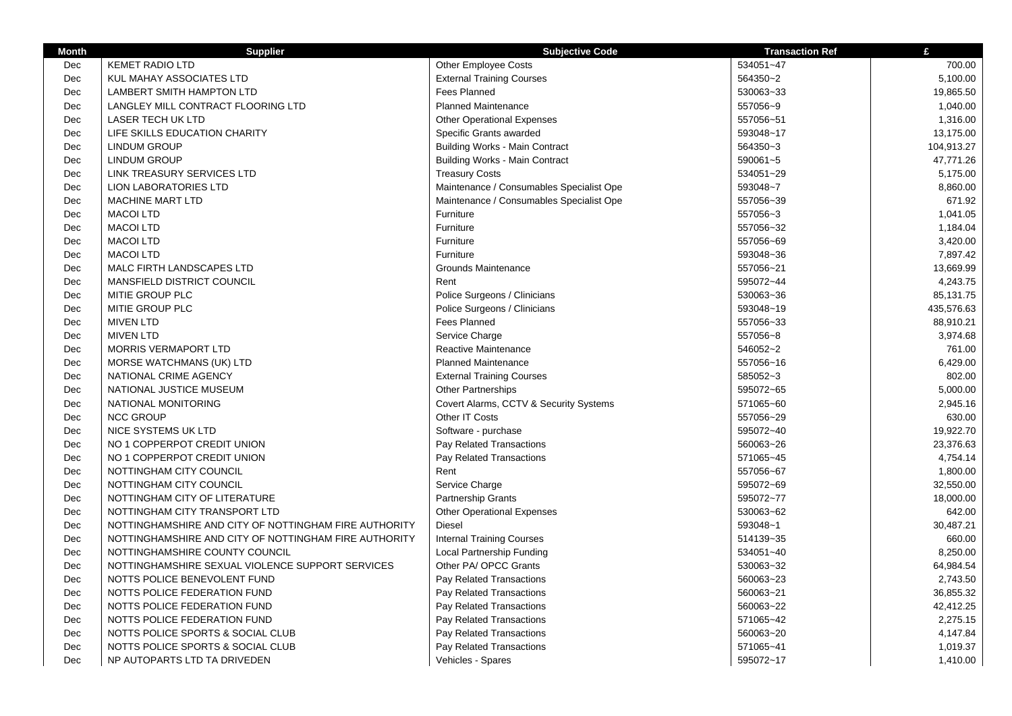| <b>Month</b> | <b>Supplier</b>                                       | <b>Subjective Code</b>                   | <b>Transaction Ref</b> | £          |
|--------------|-------------------------------------------------------|------------------------------------------|------------------------|------------|
| Dec          | <b>KEMET RADIO LTD</b>                                | <b>Other Employee Costs</b>              | 534051~47              | 700.00     |
| Dec          | KUL MAHAY ASSOCIATES LTD                              | <b>External Training Courses</b>         | 564350~2               | 5,100.00   |
| Dec          | LAMBERT SMITH HAMPTON LTD                             | <b>Fees Planned</b>                      | 530063~33              | 19,865.50  |
| Dec          | LANGLEY MILL CONTRACT FLOORING LTD                    | <b>Planned Maintenance</b>               | 557056~9               | 1,040.00   |
| Dec          | LASER TECH UK LTD                                     | <b>Other Operational Expenses</b>        | 557056~51              | 1,316.00   |
| Dec          | LIFE SKILLS EDUCATION CHARITY                         | Specific Grants awarded                  | 593048~17              | 13,175.00  |
| Dec          | <b>LINDUM GROUP</b>                                   | <b>Building Works - Main Contract</b>    | 564350~3               | 104,913.27 |
| Dec          | LINDUM GROUP                                          | <b>Building Works - Main Contract</b>    | 590061~5               | 47,771.26  |
| Dec          | LINK TREASURY SERVICES LTD                            | <b>Treasury Costs</b>                    | 534051~29              | 5,175.00   |
| Dec          | <b>LION LABORATORIES LTD</b>                          | Maintenance / Consumables Specialist Ope | 593048~7               | 8,860.00   |
| Dec          | <b>MACHINE MART LTD</b>                               | Maintenance / Consumables Specialist Ope | 557056~39              | 671.92     |
| Dec          | <b>MACOI LTD</b>                                      | Furniture                                | 557056~3               | 1,041.05   |
| Dec          | <b>MACOI LTD</b>                                      | Furniture                                | 557056~32              | 1,184.04   |
| Dec          | <b>MACOI LTD</b>                                      | Furniture                                | 557056~69              | 3,420.00   |
| Dec          | <b>MACOI LTD</b>                                      | Furniture                                | 593048~36              | 7,897.42   |
| Dec          | MALC FIRTH LANDSCAPES LTD                             | <b>Grounds Maintenance</b>               | 557056~21              | 13,669.99  |
| Dec          | MANSFIELD DISTRICT COUNCIL                            | Rent                                     | 595072~44              | 4,243.75   |
| Dec          | MITIE GROUP PLC                                       | Police Surgeons / Clinicians             | 530063~36              | 85,131.75  |
| Dec          | MITIE GROUP PLC                                       | Police Surgeons / Clinicians             | 593048~19              | 435,576.63 |
| Dec          | <b>MIVEN LTD</b>                                      | <b>Fees Planned</b>                      | 557056~33              | 88,910.21  |
| Dec          | <b>MIVEN LTD</b>                                      | Service Charge                           | 557056~8               | 3,974.68   |
| Dec          | <b>MORRIS VERMAPORT LTD</b>                           | Reactive Maintenance                     | 546052~2               | 761.00     |
| Dec          | MORSE WATCHMANS (UK) LTD                              | <b>Planned Maintenance</b>               | 557056~16              | 6,429.00   |
| Dec          | NATIONAL CRIME AGENCY                                 | <b>External Training Courses</b>         | 585052~3               | 802.00     |
| Dec          | NATIONAL JUSTICE MUSEUM                               | Other Partnerships                       | 595072~65              | 5,000.00   |
| Dec          | NATIONAL MONITORING                                   | Covert Alarms, CCTV & Security Systems   | 571065~60              | 2,945.16   |
| Dec          | <b>NCC GROUP</b>                                      | Other IT Costs                           | 557056~29              | 630.00     |
| Dec          | <b>NICE SYSTEMS UK LTD</b>                            | Software - purchase                      | 595072~40              | 19,922.70  |
| Dec          | NO 1 COPPERPOT CREDIT UNION                           | Pay Related Transactions                 | 560063~26              | 23,376.63  |
| <b>Dec</b>   | NO 1 COPPERPOT CREDIT UNION                           | Pay Related Transactions                 | 571065~45              | 4,754.14   |
| Dec          | NOTTINGHAM CITY COUNCIL                               | Rent                                     | 557056~67              | 1,800.00   |
| Dec          | NOTTINGHAM CITY COUNCIL                               | Service Charge                           | 595072~69              | 32,550.00  |
| Dec          | NOTTINGHAM CITY OF LITERATURE                         | Partnership Grants                       | 595072~77              | 18,000.00  |
| Dec          | NOTTINGHAM CITY TRANSPORT LTD                         | <b>Other Operational Expenses</b>        | 530063~62              | 642.00     |
| Dec          | NOTTINGHAMSHIRE AND CITY OF NOTTINGHAM FIRE AUTHORITY | <b>Diesel</b>                            | 593048~1               | 30,487.21  |
| Dec          | NOTTINGHAMSHIRE AND CITY OF NOTTINGHAM FIRE AUTHORITY | <b>Internal Training Courses</b>         | 514139~35              | 660.00     |
| Dec          | NOTTINGHAMSHIRE COUNTY COUNCIL                        | Local Partnership Funding                | 534051~40              | 8,250.00   |
| Dec          | NOTTINGHAMSHIRE SEXUAL VIOLENCE SUPPORT SERVICES      | Other PA/ OPCC Grants                    | 530063~32              | 64,984.54  |
| Dec          | NOTTS POLICE BENEVOLENT FUND                          | Pay Related Transactions                 | 560063~23              | 2,743.50   |
| Dec          | NOTTS POLICE FEDERATION FUND                          | Pay Related Transactions                 | 560063~21              | 36,855.32  |
| Dec          | NOTTS POLICE FEDERATION FUND                          | Pay Related Transactions                 | 560063~22              | 42,412.25  |
| Dec          | NOTTS POLICE FEDERATION FUND                          | Pay Related Transactions                 | 571065~42              | 2,275.15   |
| Dec          | NOTTS POLICE SPORTS & SOCIAL CLUB                     | Pay Related Transactions                 | 560063~20              | 4,147.84   |
| Dec          | NOTTS POLICE SPORTS & SOCIAL CLUB                     | Pay Related Transactions                 | 571065~41              | 1,019.37   |
| Dec          | NP AUTOPARTS LTD TA DRIVEDEN                          | Vehicles - Spares                        | 595072~17              | 1,410.00   |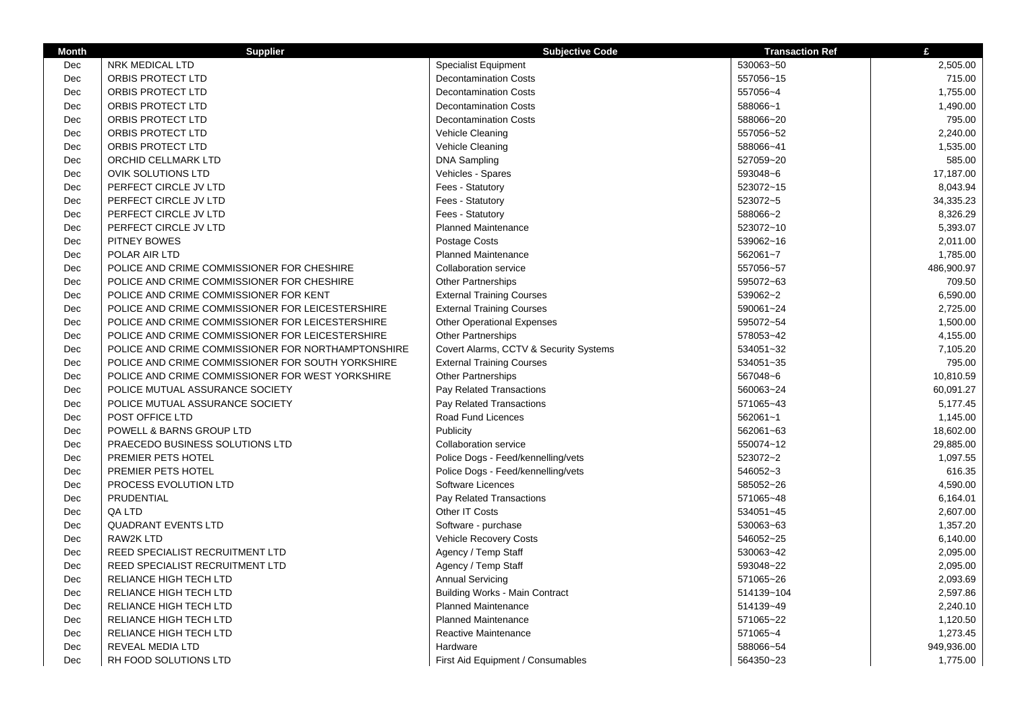| <b>Month</b> | <b>Supplier</b>                                    | <b>Subjective Code</b>                 | <b>Transaction Ref</b> | £          |
|--------------|----------------------------------------------------|----------------------------------------|------------------------|------------|
| Dec          | NRK MEDICAL LTD                                    | <b>Specialist Equipment</b>            | 530063~50              | 2,505.00   |
| Dec          | ORBIS PROTECT LTD                                  | <b>Decontamination Costs</b>           | 557056~15              | 715.00     |
| Dec          | ORBIS PROTECT LTD                                  | <b>Decontamination Costs</b>           | 557056~4               | 1,755.00   |
| Dec          | ORBIS PROTECT LTD                                  | <b>Decontamination Costs</b>           | 588066~1               | 1,490.00   |
| Dec          | ORBIS PROTECT LTD                                  | <b>Decontamination Costs</b>           | 588066~20              | 795.00     |
| Dec          | ORBIS PROTECT LTD                                  | Vehicle Cleaning                       | 557056~52              | 2,240.00   |
| Dec          | ORBIS PROTECT LTD                                  | Vehicle Cleaning                       | 588066~41              | 1,535.00   |
| Dec          | ORCHID CELLMARK LTD                                | <b>DNA Sampling</b>                    | 527059~20              | 585.00     |
| Dec          | <b>OVIK SOLUTIONS LTD</b>                          | Vehicles - Spares                      | 593048~6               | 17,187.00  |
| Dec          | PERFECT CIRCLE JV LTD                              | Fees - Statutory                       | 523072~15              | 8,043.94   |
| Dec          | PERFECT CIRCLE JV LTD                              | Fees - Statutory                       | 523072~5               | 34,335.23  |
| Dec          | PERFECT CIRCLE JV LTD                              | Fees - Statutory                       | 588066~2               | 8,326.29   |
| Dec          | PERFECT CIRCLE JV LTD                              | <b>Planned Maintenance</b>             | 523072~10              | 5,393.07   |
| Dec          | <b>PITNEY BOWES</b>                                | Postage Costs                          | 539062~16              | 2,011.00   |
| Dec          | POLAR AIR LTD                                      | <b>Planned Maintenance</b>             | 562061~7               | 1,785.00   |
| Dec          | POLICE AND CRIME COMMISSIONER FOR CHESHIRE         | <b>Collaboration service</b>           | 557056~57              | 486,900.97 |
| Dec          | POLICE AND CRIME COMMISSIONER FOR CHESHIRE         | <b>Other Partnerships</b>              | 595072~63              | 709.50     |
| Dec          | POLICE AND CRIME COMMISSIONER FOR KENT             | <b>External Training Courses</b>       | 539062~2               | 6,590.00   |
| Dec          | POLICE AND CRIME COMMISSIONER FOR LEICESTERSHIRE   | <b>External Training Courses</b>       | 590061~24              | 2,725.00   |
| Dec          | POLICE AND CRIME COMMISSIONER FOR LEICESTERSHIRE   | <b>Other Operational Expenses</b>      | 595072~54              | 1,500.00   |
| Dec          | POLICE AND CRIME COMMISSIONER FOR LEICESTERSHIRE   | <b>Other Partnerships</b>              | 578053~42              | 4,155.00   |
| Dec          | POLICE AND CRIME COMMISSIONER FOR NORTHAMPTONSHIRE | Covert Alarms, CCTV & Security Systems | 534051~32              | 7,105.20   |
| Dec          | POLICE AND CRIME COMMISSIONER FOR SOUTH YORKSHIRE  | <b>External Training Courses</b>       | 534051~35              | 795.00     |
| Dec          | POLICE AND CRIME COMMISSIONER FOR WEST YORKSHIRE   | <b>Other Partnerships</b>              | 567048~6               | 10,810.59  |
| Dec          | POLICE MUTUAL ASSURANCE SOCIETY                    | Pay Related Transactions               | 560063~24              | 60,091.27  |
| Dec          | POLICE MUTUAL ASSURANCE SOCIETY                    | Pay Related Transactions               | 571065~43              | 5,177.45   |
| Dec          | POST OFFICE LTD                                    | Road Fund Licences                     | 562061~1               | 1,145.00   |
| Dec          | POWELL & BARNS GROUP LTD                           | Publicity                              | 562061~63              | 18,602.00  |
| Dec          | PRAECEDO BUSINESS SOLUTIONS LTD                    | Collaboration service                  | 550074~12              | 29,885.00  |
| Dec          | PREMIER PETS HOTEL                                 | Police Dogs - Feed/kennelling/vets     | 523072~2               | 1.097.55   |
| Dec          | PREMIER PETS HOTEL                                 | Police Dogs - Feed/kennelling/vets     | 546052~3               | 616.35     |
| Dec          | PROCESS EVOLUTION LTD                              | Software Licences                      | 585052~26              | 4,590.00   |
| Dec          | PRUDENTIAL                                         | Pay Related Transactions               | 571065~48              | 6,164.01   |
| Dec          | QA LTD                                             | Other IT Costs                         | 534051~45              | 2,607.00   |
| Dec          | <b>QUADRANT EVENTS LTD</b>                         | Software - purchase                    | 530063~63              | 1,357.20   |
| Dec          | RAW2K LTD                                          | Vehicle Recovery Costs                 | 546052~25              | 6,140.00   |
| Dec          | REED SPECIALIST RECRUITMENT LTD                    | Agency / Temp Staff                    | 530063~42              | 2,095.00   |
| Dec          | REED SPECIALIST RECRUITMENT LTD                    | Agency / Temp Staff                    | 593048~22              | 2,095.00   |
| Dec          | RELIANCE HIGH TECH LTD                             | <b>Annual Servicing</b>                | 571065~26              | 2,093.69   |
| Dec          | RELIANCE HIGH TECH LTD                             | <b>Building Works - Main Contract</b>  | 514139~104             | 2,597.86   |
| Dec          | RELIANCE HIGH TECH LTD                             | <b>Planned Maintenance</b>             | 514139~49              | 2,240.10   |
| Dec          | RELIANCE HIGH TECH LTD                             | <b>Planned Maintenance</b>             | 571065~22              | 1,120.50   |
| Dec          | RELIANCE HIGH TECH LTD                             | Reactive Maintenance                   | 571065~4               | 1,273.45   |
| Dec          | <b>REVEAL MEDIA LTD</b>                            | Hardware                               | 588066~54              | 949,936.00 |
| Dec          | RH FOOD SOLUTIONS LTD                              | First Aid Equipment / Consumables      | 564350~23              | 1,775.00   |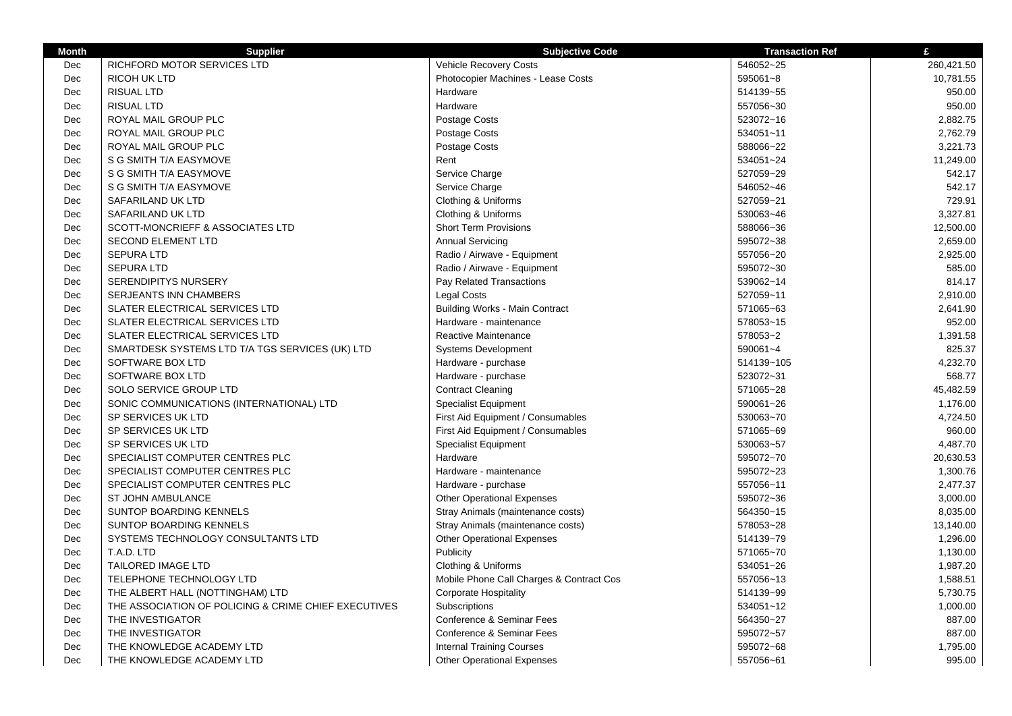| <b>Subjective Code</b><br><b>Transaction Ref</b><br>Vehicle Recovery Costs<br>546052~25<br><b>RICHFORD MOTOR SERVICES LTD</b><br>Dec<br>Dec<br><b>RICOH UK LTD</b><br>Photocopier Machines - Lease Costs<br>595061~8<br>Dec<br><b>RISUAL LTD</b><br>Hardware<br>514139~55 | 260,421.50<br>10,781.55<br>950.00<br>950.00<br>2,882.75 |
|---------------------------------------------------------------------------------------------------------------------------------------------------------------------------------------------------------------------------------------------------------------------------|---------------------------------------------------------|
|                                                                                                                                                                                                                                                                           |                                                         |
|                                                                                                                                                                                                                                                                           |                                                         |
|                                                                                                                                                                                                                                                                           |                                                         |
| Hardware<br>Dec<br><b>RISUAL LTD</b><br>557056~30                                                                                                                                                                                                                         |                                                         |
| ROYAL MAIL GROUP PLC<br>Postage Costs<br>Dec<br>523072~16                                                                                                                                                                                                                 |                                                         |
| Postage Costs<br>Dec<br>ROYAL MAIL GROUP PLC<br>534051~11                                                                                                                                                                                                                 | 2,762.79                                                |
| Postage Costs<br>588066~22<br>Dec<br>ROYAL MAIL GROUP PLC                                                                                                                                                                                                                 | 3,221.73                                                |
| Rent<br>Dec<br>S G SMITH T/A EASYMOVE<br>534051~24                                                                                                                                                                                                                        | 11,249.00                                               |
| Dec<br>Service Charge<br>527059~29<br>S G SMITH T/A EASYMOVE                                                                                                                                                                                                              | 542.17                                                  |
| Dec<br>S G SMITH T/A EASYMOVE<br>Service Charge<br>546052~46                                                                                                                                                                                                              | 542.17                                                  |
| Dec<br>SAFARILAND UK LTD<br>Clothing & Uniforms<br>527059~21                                                                                                                                                                                                              | 729.91                                                  |
| Dec<br>SAFARILAND UK LTD<br>Clothing & Uniforms<br>530063~46                                                                                                                                                                                                              | 3,327.81                                                |
| Dec<br>SCOTT-MONCRIEFF & ASSOCIATES LTD<br><b>Short Term Provisions</b><br>588066~36                                                                                                                                                                                      | 12,500.00                                               |
| Dec<br><b>SECOND ELEMENT LTD</b><br><b>Annual Servicing</b><br>595072~38                                                                                                                                                                                                  | 2,659.00                                                |
| Dec<br><b>SEPURA LTD</b><br>Radio / Airwave - Equipment<br>557056~20                                                                                                                                                                                                      | 2,925.00                                                |
| <b>SEPURA LTD</b><br>Radio / Airwave - Equipment<br>595072~30<br>Dec                                                                                                                                                                                                      | 585.00                                                  |
| Dec<br>SERENDIPITYS NURSERY<br>Pay Related Transactions<br>539062~14                                                                                                                                                                                                      | 814.17                                                  |
| SERJEANTS INN CHAMBERS<br>Legal Costs<br>527059~11<br>Dec                                                                                                                                                                                                                 | 2,910.00                                                |
| Dec<br><b>Building Works - Main Contract</b><br>571065~63<br>SLATER ELECTRICAL SERVICES LTD                                                                                                                                                                               | 2,641.90                                                |
| Dec<br>SLATER ELECTRICAL SERVICES LTD<br>Hardware - maintenance<br>578053~15                                                                                                                                                                                              | 952.00                                                  |
| Reactive Maintenance<br>578053~2<br>Dec<br>SLATER ELECTRICAL SERVICES LTD                                                                                                                                                                                                 | 1,391.58                                                |
| 590061~4<br>Dec<br>SMARTDESK SYSTEMS LTD T/A TGS SERVICES (UK) LTD<br>Systems Development                                                                                                                                                                                 | 825.37                                                  |
| Dec<br>SOFTWARE BOX LTD<br>Hardware - purchase<br>514139~105                                                                                                                                                                                                              | 4,232.70                                                |
| Dec<br>SOFTWARE BOX LTD<br>Hardware - purchase<br>523072~31                                                                                                                                                                                                               | 568.77                                                  |
| Dec<br>SOLO SERVICE GROUP LTD<br><b>Contract Cleaning</b><br>571065~28                                                                                                                                                                                                    | 45,482.59                                               |
| Dec<br>SONIC COMMUNICATIONS (INTERNATIONAL) LTD<br><b>Specialist Equipment</b><br>590061~26                                                                                                                                                                               | 1,176.00                                                |
| Dec<br>SP SERVICES UK LTD<br>First Aid Equipment / Consumables<br>530063~70                                                                                                                                                                                               | 4,724.50                                                |
| SP SERVICES UK LTD<br>First Aid Equipment / Consumables<br>571065~69<br>Dec                                                                                                                                                                                               | 960.00                                                  |
| Dec<br>SP SERVICES UK LTD<br><b>Specialist Equipment</b><br>530063~57                                                                                                                                                                                                     | 4,487.70                                                |
| Dec<br>Hardware<br>595072~70<br>SPECIALIST COMPUTER CENTRES PLC                                                                                                                                                                                                           | 20,630.53                                               |
| Dec<br>SPECIALIST COMPUTER CENTRES PLC<br>Hardware - maintenance<br>595072~23                                                                                                                                                                                             | 1,300.76                                                |
| Dec<br>SPECIALIST COMPUTER CENTRES PLC<br>Hardware - purchase<br>557056~11                                                                                                                                                                                                | 2,477.37                                                |
| Dec<br><b>ST JOHN AMBULANCE</b><br><b>Other Operational Expenses</b><br>595072~36                                                                                                                                                                                         | 3,000.00                                                |
| Dec<br>SUNTOP BOARDING KENNELS<br>Stray Animals (maintenance costs)<br>564350~15                                                                                                                                                                                          | 8,035.00                                                |
| 578053~28<br>Dec<br><b>SUNTOP BOARDING KENNELS</b><br>Stray Animals (maintenance costs)                                                                                                                                                                                   | 13,140.00                                               |
| Dec<br>SYSTEMS TECHNOLOGY CONSULTANTS LTD<br><b>Other Operational Expenses</b><br>514139~79                                                                                                                                                                               | 1,296.00                                                |
| T.A.D. LTD<br>Publicity<br>571065~70<br>Dec                                                                                                                                                                                                                               | 1,130.00                                                |
| TAILORED IMAGE LTD<br>Clothing & Uniforms<br>Dec<br>534051~26                                                                                                                                                                                                             | 1,987.20                                                |
| TELEPHONE TECHNOLOGY LTD<br>Mobile Phone Call Charges & Contract Cos<br>557056~13<br>Dec                                                                                                                                                                                  | 1,588.51                                                |
| Dec<br><b>Corporate Hospitality</b><br>THE ALBERT HALL (NOTTINGHAM) LTD<br>514139~99                                                                                                                                                                                      | 5,730.75                                                |
| Dec<br>THE ASSOCIATION OF POLICING & CRIME CHIEF EXECUTIVES<br>Subscriptions<br>534051~12                                                                                                                                                                                 | 1,000.00                                                |
| Dec<br>THE INVESTIGATOR<br>Conference & Seminar Fees<br>564350~27                                                                                                                                                                                                         | 887.00                                                  |
| THE INVESTIGATOR<br>Conference & Seminar Fees<br>Dec<br>595072~57                                                                                                                                                                                                         | 887.00                                                  |
| Dec<br>THE KNOWLEDGE ACADEMY LTD<br><b>Internal Training Courses</b><br>595072~68                                                                                                                                                                                         | 1,795.00                                                |
| 557056~61<br>Dec<br>THE KNOWLEDGE ACADEMY LTD<br><b>Other Operational Expenses</b>                                                                                                                                                                                        | 995.00                                                  |